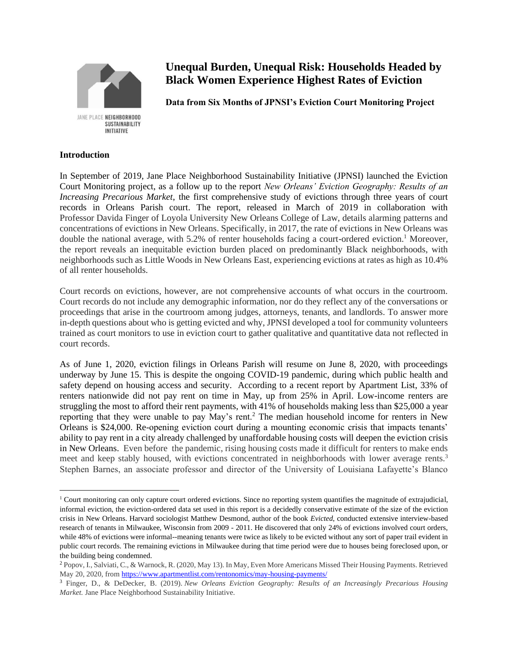

# **Unequal Burden, Unequal Risk: Households Headed by Black Women Experience Highest Rates of Eviction**

**Data from Six Months of JPNSI's Eviction Court Monitoring Project**

# **Introduction**

In September of 2019, Jane Place Neighborhood Sustainability Initiative (JPNSI) launched the Eviction Court Monitoring project, as a follow up to the report *New Orleans' Eviction Geography: Results of an Increasing Precarious Market*, the first comprehensive study of evictions through three years of court records in Orleans Parish court. The report, released in March of 2019 in collaboration with Professor Davida Finger of Loyola University New Orleans College of Law, details alarming patterns and concentrations of evictions in New Orleans. Specifically, in 2017, the rate of evictions in New Orleans was double the national average, with 5.2% of renter households facing a court-ordered eviction.<sup>1</sup> Moreover, the report reveals an inequitable eviction burden placed on predominantly Black neighborhoods, with neighborhoods such as Little Woods in New Orleans East, experiencing evictions at rates as high as 10.4% of all renter households.

Court records on evictions, however, are not comprehensive accounts of what occurs in the courtroom. Court records do not include any demographic information, nor do they reflect any of the conversations or proceedings that arise in the courtroom among judges, attorneys, tenants, and landlords. To answer more in-depth questions about who is getting evicted and why, JPNSI developed a tool for community volunteers trained as court monitors to use in eviction court to gather qualitative and quantitative data not reflected in court records.

As of June 1, 2020, eviction filings in Orleans Parish will resume on June 8, 2020, with proceedings underway by June 15. This is despite the ongoing COVID-19 pandemic, during which public health and safety depend on housing access and security. According to a recent report by Apartment List, 33% of renters nationwide did not pay rent on time in May, up from 25% in April. Low-income renters are struggling the most to afford their rent payments, with 41% of households making less than \$25,000 a year reporting that they were unable to pay May's rent.<sup>2</sup> The median household income for renters in New Orleans is \$24,000. Re-opening eviction court during a mounting economic crisis that impacts tenants' ability to pay rent in a city already challenged by unaffordable housing costs will deepen the eviction crisis in New Orleans. Even before the pandemic, rising housing costs made it difficult for renters to make ends meet and keep stably housed, with evictions concentrated in neighborhoods with lower average rents.<sup>3</sup> Stephen Barnes, an associate professor and director of the University of Louisiana Lafayette's Blanco

 $1$  Court monitoring can only capture court ordered evictions. Since no reporting system quantifies the magnitude of extrajudicial, informal eviction, the eviction-ordered data set used in this report is a decidedly conservative estimate of the size of the eviction crisis in New Orleans. Harvard sociologist Matthew Desmond, author of the book *Evicted*, conducted extensive interview-based research of tenants in Milwaukee, Wisconsin from 2009 - 2011. He discovered that only 24% of evictions involved court orders, while 48% of evictions were informal--meaning tenants were twice as likely to be evicted without any sort of paper trail evident in public court records. The remaining evictions in Milwaukee during that time period were due to houses being foreclosed upon, or the building being condemned.

<sup>2</sup> Popov, I., Salviati, C., & Warnock, R. (2020, May 13). In May, Even More Americans Missed Their Housing Payments. Retrieved May 20, 2020, fro[m https://www.apartmentlist.com/rentonomics/may-housing-payments/](https://www.apartmentlist.com/rentonomics/may-housing-payments/)

<sup>3</sup> Finger, D., & DeDecker, B. (2019). *New Orleans Eviction Geography: Results of an Increasingly Precarious Housing Market.* Jane Place Neighborhood Sustainability Initiative.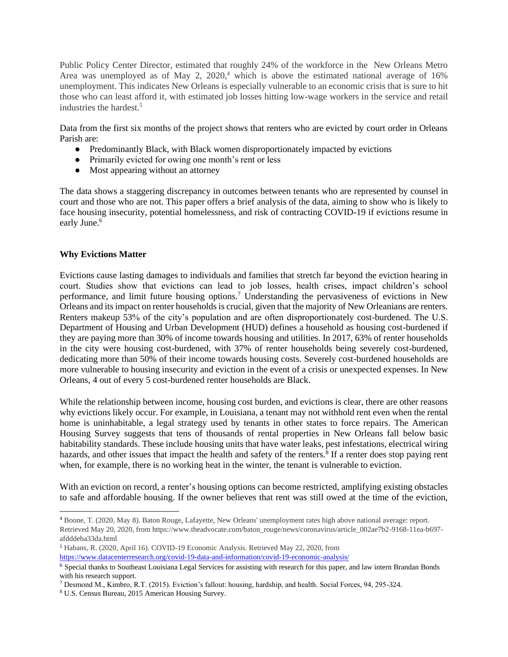Public Policy Center Director, estimated that roughly 24% of the workforce in the New Orleans Metro Area was unemployed as of May 2,  $2020<sup>4</sup>$ , which is above the estimated national average of 16% unemployment. This indicates New Orleans is especially vulnerable to an economic crisis that is sure to hit those who can least afford it, with estimated job losses hitting low-wage workers in the service and retail industries the hardest. 5

Data from the first six months of the project shows that renters who are evicted by court order in Orleans Parish are:

- Predominantly Black, with Black women disproportionately impacted by evictions
- Primarily evicted for owing one month's rent or less
- Most appearing without an attorney

The data shows a staggering discrepancy in outcomes between tenants who are represented by counsel in court and those who are not. This paper offers a brief analysis of the data, aiming to show who is likely to face housing insecurity, potential homelessness, and risk of contracting COVID-19 if evictions resume in early June.<sup>6</sup>

# **Why Evictions Matter**

Evictions cause lasting damages to individuals and families that stretch far beyond the eviction hearing in court. Studies show that evictions can lead to job losses, health crises, impact children's school performance, and limit future housing options.<sup>7</sup> Understanding the pervasiveness of evictions in New Orleans and its impact on renter households is crucial, given that the majority of New Orleanians are renters. Renters makeup 53% of the city's population and are often disproportionately cost-burdened. The U.S. Department of Housing and Urban Development (HUD) defines a household as housing cost-burdened if they are paying more than 30% of income towards housing and utilities. In 2017, 63% of renter households in the city were housing cost-burdened, with 37% of renter households being severely cost-burdened, dedicating more than 50% of their income towards housing costs. Severely cost-burdened households are more vulnerable to housing insecurity and eviction in the event of a crisis or unexpected expenses. In New Orleans, 4 out of every 5 cost-burdened renter households are Black.

While the relationship between income, housing cost burden, and evictions is clear, there are other reasons why evictions likely occur. For example, in Louisiana, a tenant may not withhold rent even when the rental home is uninhabitable, a legal strategy used by tenants in other states to force repairs. The American Housing Survey suggests that tens of thousands of rental properties in New Orleans fall below basic habitability standards. These include housing units that have water leaks, pest infestations, electrical wiring hazards, and other issues that impact the health and safety of the renters.<sup>8</sup> If a renter does stop paying rent when, for example, there is no working heat in the winter, the tenant is vulnerable to eviction.

With an eviction on record, a renter's housing options can become restricted, amplifying existing obstacles to safe and affordable housing. If the owner believes that rent was still owed at the time of the eviction,

<sup>4</sup> Boone, T. (2020, May 8). Baton Rouge, Lafayette, New Orleans' unemployment rates high above national average: report. Retrieved May 20, 2020, from https://www.theadvocate.com/baton\_rouge/news/coronavirus/article\_002ae7b2-9168-11ea-b697 afdddeba33da.html

<sup>5</sup> Habans, R. (2020, April 16). COVID-19 Economic Analysis. Retrieved May 22, 2020, from <https://www.datacenterresearch.org/covid-19-data-and-information/covid-19-economic-analysis/>

<sup>6</sup> Special thanks to Southeast Louisiana Legal Services for assisting with research for this paper, and law intern Brandan Bonds with his research support.

<sup>7</sup> Desmond M., Kimbro, R.T. (2015). Eviction's fallout: housing, hardship, and health. Social Forces, 94, 295-324.

<sup>8</sup> U.S. Census Bureau, 2015 American Housing Survey.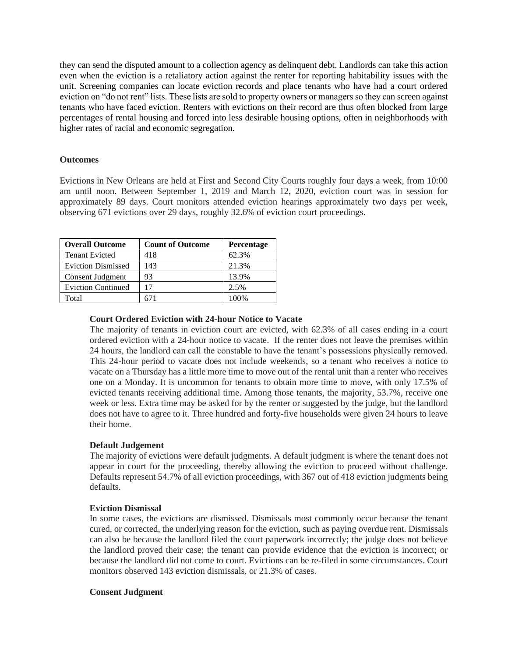they can send the disputed amount to a collection agency as delinquent debt. Landlords can take this action even when the eviction is a retaliatory action against the renter for reporting habitability issues with the unit. Screening companies can locate eviction records and place tenants who have had a court ordered eviction on "do not rent" lists. These lists are sold to property owners or managers so they can screen against tenants who have faced eviction. Renters with evictions on their record are thus often blocked from large percentages of rental housing and forced into less desirable housing options, often in neighborhoods with higher rates of racial and economic segregation.

## **Outcomes**

Evictions in New Orleans are held at First and Second City Courts roughly four days a week, from 10:00 am until noon. Between September 1, 2019 and March 12, 2020, eviction court was in session for approximately 89 days. Court monitors attended eviction hearings approximately two days per week, observing 671 evictions over 29 days, roughly 32.6% of eviction court proceedings.

| <b>Overall Outcome</b>    | <b>Count of Outcome</b> | <b>Percentage</b> |
|---------------------------|-------------------------|-------------------|
| <b>Tenant Evicted</b>     | 418                     | 62.3%             |
| <b>Eviction Dismissed</b> | 143                     | 21.3%             |
| Consent Judgment          | 93                      | 13.9%             |
| <b>Eviction Continued</b> | 17                      | 2.5%              |
| Total                     |                         | 100%              |

## **Court Ordered Eviction with 24-hour Notice to Vacate**

The majority of tenants in eviction court are evicted, with 62.3% of all cases ending in a court ordered eviction with a 24-hour notice to vacate. If the renter does not leave the premises within 24 hours, the landlord can call the constable to have the tenant's possessions physically removed. This 24-hour period to vacate does not include weekends, so a tenant who receives a notice to vacate on a Thursday has a little more time to move out of the rental unit than a renter who receives one on a Monday. It is uncommon for tenants to obtain more time to move, with only 17.5% of evicted tenants receiving additional time. Among those tenants, the majority, 53.7%, receive one week or less. Extra time may be asked for by the renter or suggested by the judge, but the landlord does not have to agree to it. Three hundred and forty-five households were given 24 hours to leave their home.

# **Default Judgement**

The majority of evictions were default judgments. A default judgment is where the tenant does not appear in court for the proceeding, thereby allowing the eviction to proceed without challenge. Defaults represent 54.7% of all eviction proceedings, with 367 out of 418 eviction judgments being defaults.

#### **Eviction Dismissal**

In some cases, the evictions are dismissed. Dismissals most commonly occur because the tenant cured, or corrected, the underlying reason for the eviction, such as paying overdue rent. Dismissals can also be because the landlord filed the court paperwork incorrectly; the judge does not believe the landlord proved their case; the tenant can provide evidence that the eviction is incorrect; or because the landlord did not come to court. Evictions can be re-filed in some circumstances. Court monitors observed 143 eviction dismissals, or 21.3% of cases.

#### **Consent Judgment**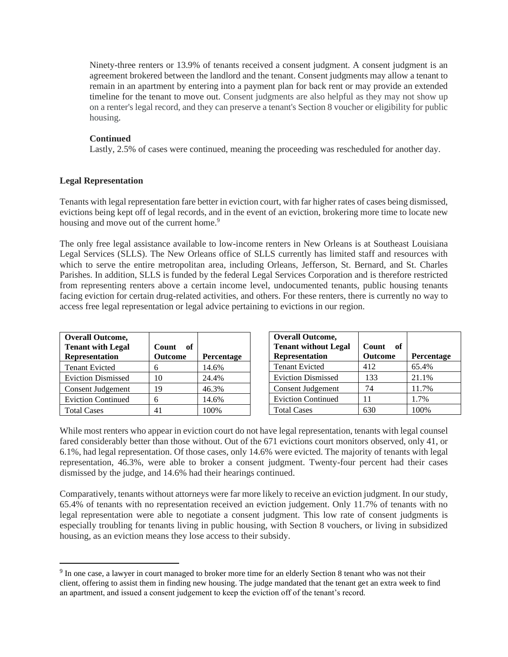Ninety-three renters or 13.9% of tenants received a consent judgment. A consent judgment is an agreement brokered between the landlord and the tenant. Consent judgments may allow a tenant to remain in an apartment by entering into a payment plan for back rent or may provide an extended timeline for the tenant to move out. Consent judgments are also helpful as they may not show up on a renter's legal record, and they can preserve a tenant's Section 8 voucher or eligibility for public housing.

#### **Continued**

Lastly, 2.5% of cases were continued, meaning the proceeding was rescheduled for another day.

#### **Legal Representation**

Tenants with legal representation fare better in eviction court, with far higher rates of cases being dismissed, evictions being kept off of legal records, and in the event of an eviction, brokering more time to locate new housing and move out of the current home.<sup>9</sup>

The only free legal assistance available to low-income renters in New Orleans is at Southeast Louisiana Legal Services (SLLS). The New Orleans office of SLLS currently has limited staff and resources with which to serve the entire metropolitan area, including Orleans, Jefferson, St. Bernard, and St. Charles Parishes. In addition, SLLS is funded by the federal Legal Services Corporation and is therefore restricted from representing renters above a certain income level, undocumented tenants, public housing tenants facing eviction for certain drug-related activities, and others. For these renters, there is currently no way to access free legal representation or legal advice pertaining to evictions in our region.

| <b>Overall Outcome,</b><br><b>Tenant with Legal</b><br><b>Representation</b> | Count<br>- of<br><b>Outcome</b> | Percentage |
|------------------------------------------------------------------------------|---------------------------------|------------|
| <b>Tenant Evicted</b>                                                        | 6                               | 14.6%      |
| <b>Eviction Dismissed</b>                                                    | 10                              | 24.4%      |
| Consent Judgement                                                            | 19                              | 46.3%      |
| <b>Eviction Continued</b>                                                    | 6                               | 14.6%      |
| <b>Total Cases</b>                                                           |                                 | 100%       |

| <b>Overall Outcome,</b><br><b>Tenant without Legal</b><br><b>Representation</b> | Count<br>of<br>Outcome | Percentage |
|---------------------------------------------------------------------------------|------------------------|------------|
| <b>Tenant Evicted</b>                                                           | 412                    | 65.4%      |
| <b>Eviction Dismissed</b>                                                       | 133                    | 21.1%      |
| Consent Judgement                                                               | 74                     | 11.7%      |
| <b>Eviction Continued</b>                                                       | 11                     | 1.7%       |
| <b>Total Cases</b>                                                              |                        | 100%       |

While most renters who appear in eviction court do not have legal representation, tenants with legal counsel fared considerably better than those without. Out of the 671 evictions court monitors observed, only 41, or 6.1%, had legal representation. Of those cases, only 14.6% were evicted. The majority of tenants with legal representation, 46.3%, were able to broker a consent judgment. Twenty-four percent had their cases dismissed by the judge, and 14.6% had their hearings continued.

Comparatively, tenants without attorneys were far more likely to receive an eviction judgment. In our study, 65.4% of tenants with no representation received an eviction judgement. Only 11.7% of tenants with no legal representation were able to negotiate a consent judgment. This low rate of consent judgments is especially troubling for tenants living in public housing, with Section 8 vouchers, or living in subsidized housing, as an eviction means they lose access to their subsidy.

<sup>&</sup>lt;sup>9</sup> In one case, a lawyer in court managed to broker more time for an elderly Section 8 tenant who was not their client, offering to assist them in finding new housing. The judge mandated that the tenant get an extra week to find an apartment, and issued a consent judgement to keep the eviction off of the tenant's record.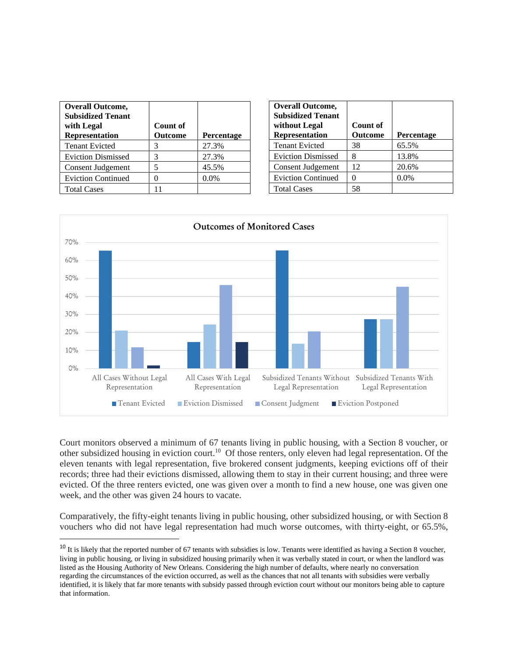| <b>Overall Outcome,</b><br><b>Subsidized Tenant</b><br>with Legal<br><b>Representation</b> | Count of<br><b>Outcome</b> | Percentage |
|--------------------------------------------------------------------------------------------|----------------------------|------------|
| <b>Tenant Evicted</b>                                                                      | 3                          | 27.3%      |
| <b>Eviction Dismissed</b>                                                                  | 3                          | 27.3%      |
| Consent Judgement                                                                          | 5                          | 45.5%      |
| <b>Eviction Continued</b>                                                                  |                            | 0.0%       |
| <b>Total Cases</b>                                                                         |                            |            |

| <b>Overall Outcome,</b><br><b>Subsidized Tenant</b><br>without Legal<br><b>Representation</b> | Count of<br><b>Outcome</b> | <b>Percentage</b> |
|-----------------------------------------------------------------------------------------------|----------------------------|-------------------|
| <b>Tenant Evicted</b>                                                                         | 38                         | 65.5%             |
| <b>Eviction Dismissed</b>                                                                     |                            | 13.8%             |
| Consent Judgement                                                                             | 12                         | 20.6%             |
| <b>Eviction Continued</b>                                                                     |                            | 0.0%              |
| <b>Total Cases</b>                                                                            | 58                         |                   |



Court monitors observed a minimum of 67 tenants living in public housing, with a Section 8 voucher, or other subsidized housing in eviction court.<sup>10</sup> Of those renters, only eleven had legal representation. Of the eleven tenants with legal representation, five brokered consent judgments, keeping evictions off of their records; three had their evictions dismissed, allowing them to stay in their current housing; and three were evicted. Of the three renters evicted, one was given over a month to find a new house, one was given one week, and the other was given 24 hours to vacate.

Comparatively, the fifty-eight tenants living in public housing, other subsidized housing, or with Section 8 vouchers who did not have legal representation had much worse outcomes, with thirty-eight, or 65.5%,

<sup>&</sup>lt;sup>10</sup> It is likely that the reported number of 67 tenants with subsidies is low. Tenants were identified as having a Section 8 voucher, living in public housing, or living in subsidized housing primarily when it was verbally stated in court, or when the landlord was listed as the Housing Authority of New Orleans. Considering the high number of defaults, where nearly no conversation regarding the circumstances of the eviction occurred, as well as the chances that not all tenants with subsidies were verbally identified, it is likely that far more tenants with subsidy passed through eviction court without our monitors being able to capture that information.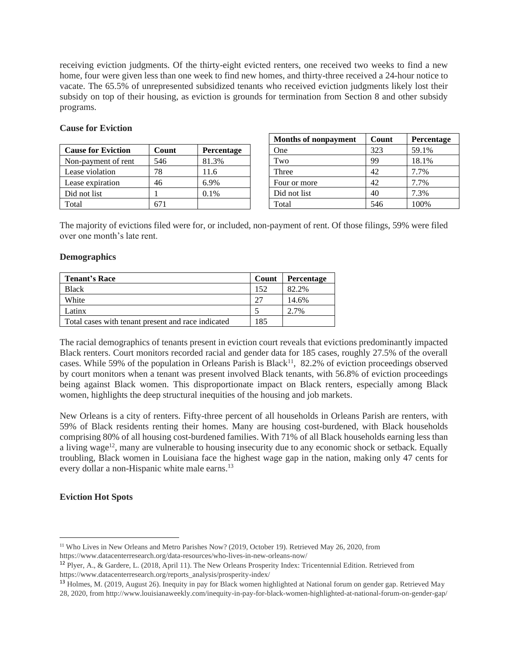receiving eviction judgments. Of the thirty-eight evicted renters, one received two weeks to find a new home, four were given less than one week to find new homes, and thirty-three received a 24-hour notice to vacate. The 65.5% of unrepresented subsidized tenants who received eviction judgments likely lost their subsidy on top of their housing, as eviction is grounds for termination from Section 8 and other subsidy programs.

## **Cause for Eviction**

| <b>Cause for Eviction</b> | Count | Percentage |
|---------------------------|-------|------------|
| Non-payment of rent       | 546   | 81.3%      |
| Lease violation           | 78    | 11.6       |
| Lease expiration          | 46    | 6.9%       |
| Did not list              |       | 0.1%       |
| Total                     |       |            |

| <b>Months of nonpayment</b> | Count | Percentage |
|-----------------------------|-------|------------|
| One                         | 323   | 59.1%      |
| Two                         | 99    | 18.1%      |
| Three                       | 42    | 7.7%       |
| Four or more                | 42    | 7.7%       |
| Did not list                | 40    | 7.3%       |
| Total                       | 546   | 100%       |

The majority of evictions filed were for, or included, non-payment of rent. Of those filings, 59% were filed over one month's late rent.

#### **Demographics**

| <b>Tenant's Race</b>                               | Count | Percentage |
|----------------------------------------------------|-------|------------|
| <b>Black</b>                                       | 152   | 82.2%      |
| White                                              | 27    | 14.6%      |
| Latinx                                             |       | 2.7%       |
| Total cases with tenant present and race indicated | 185   |            |

The racial demographics of tenants present in eviction court reveals that evictions predominantly impacted Black renters. Court monitors recorded racial and gender data for 185 cases, roughly 27.5% of the overall cases. While 59% of the population in Orleans Parish is Black<sup>11</sup>, 82.2% of eviction proceedings observed by court monitors when a tenant was present involved Black tenants, with 56.8% of eviction proceedings being against Black women. This disproportionate impact on Black renters, especially among Black women, highlights the deep structural inequities of the housing and job markets.

New Orleans is a city of renters. Fifty-three percent of all households in Orleans Parish are renters, with 59% of Black residents renting their homes. Many are housing cost-burdened, with Black households comprising 80% of all housing cost-burdened families. With 71% of all Black households earning less than a living wage<sup>12</sup>, many are vulnerable to housing insecurity due to any economic shock or setback. Equally troubling, Black women in Louisiana face the highest wage gap in the nation, making only 47 cents for every dollar a non-Hispanic white male earns.<sup>13</sup>

# **Eviction Hot Spots**

https://www.datacenterresearch.org/data-resources/who-lives-in-new-orleans-now/

<sup>11</sup> Who Lives in New Orleans and Metro Parishes Now? (2019, October 19). Retrieved May 26, 2020, from

<sup>12</sup> Plyer, A., & Gardere, L. (2018, April 11). The New Orleans Prosperity Index: Tricentennial Edition. Retrieved from https://www.datacenterresearch.org/reports\_analysis/prosperity-index/

<sup>13</sup> Holmes, M. (2019, August 26). Inequity in pay for Black women highlighted at National forum on gender gap. Retrieved May 28, 2020, from http://www.louisianaweekly.com/inequity-in-pay-for-black-women-highlighted-at-national-forum-on-gender-gap/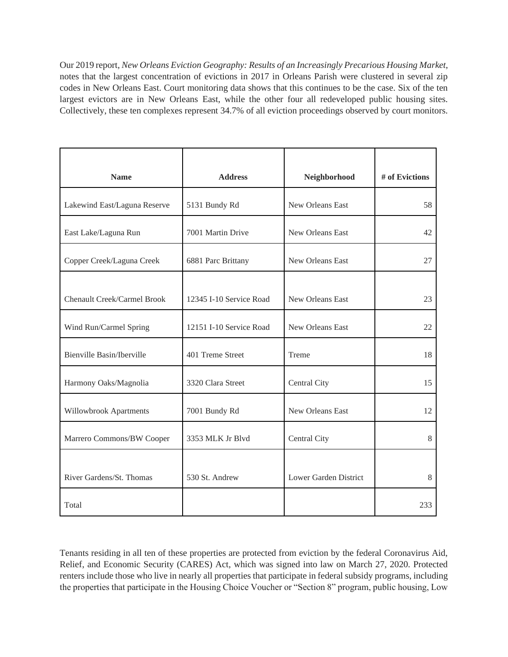Our 2019 report, *New Orleans Eviction Geography: Results of an Increasingly Precarious Housing Market*, notes that the largest concentration of evictions in 2017 in Orleans Parish were clustered in several zip codes in New Orleans East. Court monitoring data shows that this continues to be the case. Six of the ten largest evictors are in New Orleans East, while the other four all redeveloped public housing sites. Collectively, these ten complexes represent 34.7% of all eviction proceedings observed by court monitors.

| <b>Name</b>                        | <b>Address</b>          | Neighborhood          | # of Evictions |
|------------------------------------|-------------------------|-----------------------|----------------|
|                                    |                         |                       |                |
| Lakewind East/Laguna Reserve       | 5131 Bundy Rd           | New Orleans East      | 58             |
| East Lake/Laguna Run               | 7001 Martin Drive       | New Orleans East      | 42             |
| Copper Creek/Laguna Creek          | 6881 Parc Brittany      | New Orleans East      | 27             |
|                                    |                         |                       |                |
| <b>Chenault Creek/Carmel Brook</b> | 12345 I-10 Service Road | New Orleans East      | 23             |
| Wind Run/Carmel Spring             | 12151 I-10 Service Road | New Orleans East      | 22             |
| Bienville Basin/Iberville          | 401 Treme Street        | Treme                 | 18             |
| Harmony Oaks/Magnolia              | 3320 Clara Street       | Central City          | 15             |
| Willowbrook Apartments             | 7001 Bundy Rd           | New Orleans East      | 12             |
| Marrero Commons/BW Cooper          | 3353 MLK Jr Blvd        | Central City          | 8              |
|                                    |                         |                       |                |
| River Gardens/St. Thomas           | 530 St. Andrew          | Lower Garden District | 8              |
| Total                              |                         |                       | 233            |

Tenants residing in all ten of these properties are protected from eviction by the federal Coronavirus Aid, Relief, and Economic Security (CARES) Act, which was signed into law on March 27, 2020. Protected renters include those who live in nearly all properties that participate in federal subsidy programs, including the properties that participate in the Housing Choice Voucher or "Section 8" program, public housing, Low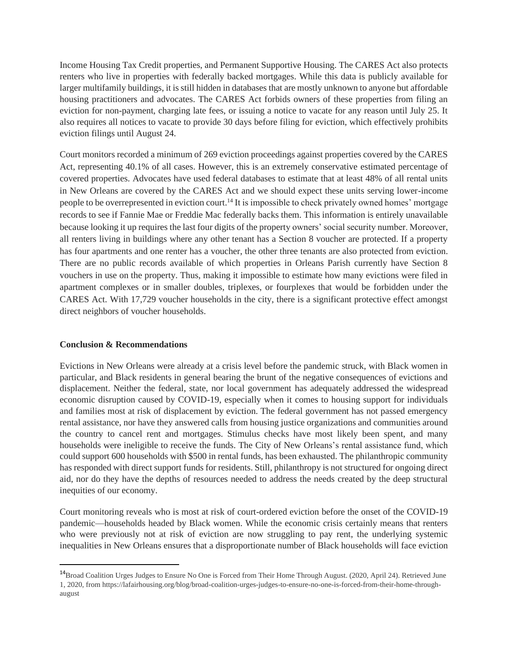Income Housing Tax Credit properties, and Permanent Supportive Housing. The CARES Act also protects renters who live in properties with federally backed mortgages. While this data is publicly available for larger multifamily buildings, it is still hidden in databases that are mostly unknown to anyone but affordable housing practitioners and advocates. The CARES Act forbids owners of these properties from filing an eviction for non-payment, charging late fees, or issuing a notice to vacate for any reason until July 25. It also requires all notices to vacate to provide 30 days before filing for eviction, which effectively prohibits eviction filings until August 24.

Court monitors recorded a minimum of 269 eviction proceedings against properties covered by the CARES Act, representing 40.1% of all cases. However, this is an extremely conservative estimated percentage of covered properties. Advocates have used federal databases to estimate that at least 48% of all rental units in New Orleans are covered by the CARES Act and we should expect these units serving lower-income people to be overrepresented in eviction court.<sup>14</sup> It is impossible to check privately owned homes' mortgage records to see if Fannie Mae or Freddie Mac federally backs them. This information is entirely unavailable because looking it up requires the last four digits of the property owners' social security number. Moreover, all renters living in buildings where any other tenant has a Section 8 voucher are protected. If a property has four apartments and one renter has a voucher, the other three tenants are also protected from eviction. There are no public records available of which properties in Orleans Parish currently have Section 8 vouchers in use on the property. Thus, making it impossible to estimate how many evictions were filed in apartment complexes or in smaller doubles, triplexes, or fourplexes that would be forbidden under the CARES Act. With 17,729 voucher households in the city, there is a significant protective effect amongst direct neighbors of voucher households.

# **Conclusion & Recommendations**

Evictions in New Orleans were already at a crisis level before the pandemic struck, with Black women in particular, and Black residents in general bearing the brunt of the negative consequences of evictions and displacement. Neither the federal, state, nor local government has adequately addressed the widespread economic disruption caused by COVID-19, especially when it comes to housing support for individuals and families most at risk of displacement by eviction. The federal government has not passed emergency rental assistance, nor have they answered calls from housing justice organizations and communities around the country to cancel rent and mortgages. Stimulus checks have most likely been spent, and many households were ineligible to receive the funds. The City of New Orleans's rental assistance fund, which could support 600 households with \$500 in rental funds, has been exhausted. The philanthropic community has responded with direct support funds for residents. Still, philanthropy is not structured for ongoing direct aid, nor do they have the depths of resources needed to address the needs created by the deep structural inequities of our economy.

Court monitoring reveals who is most at risk of court-ordered eviction before the onset of the COVID-19 pandemic—households headed by Black women. While the economic crisis certainly means that renters who were previously not at risk of eviction are now struggling to pay rent, the underlying systemic inequalities in New Orleans ensures that a disproportionate number of Black households will face eviction

<sup>14</sup>Broad Coalition Urges Judges to Ensure No One is Forced from Their Home Through August. (2020, April 24). Retrieved June 1, 2020, from https://lafairhousing.org/blog/broad-coalition-urges-judges-to-ensure-no-one-is-forced-from-their-home-throughaugust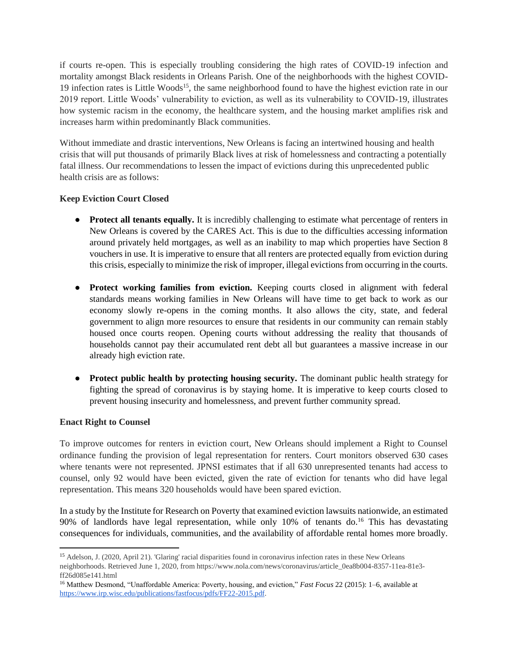if courts re-open. This is especially troubling considering the high rates of COVID-19 infection and mortality amongst Black residents in Orleans Parish. One of the neighborhoods with the highest COVID-19 infection rates is Little Woods<sup>15</sup>, the same neighborhood found to have the highest eviction rate in our 2019 report. Little Woods' vulnerability to eviction, as well as its vulnerability to COVID-19, illustrates how systemic racism in the economy, the healthcare system, and the housing market amplifies risk and increases harm within predominantly Black communities.

Without immediate and drastic interventions, New Orleans is facing an intertwined housing and health crisis that will put thousands of primarily Black lives at risk of homelessness and contracting a potentially fatal illness. Our recommendations to lessen the impact of evictions during this unprecedented public health crisis are as follows:

# **Keep Eviction Court Closed**

- **Protect all tenants equally.** It is incredibly challenging to estimate what percentage of renters in New Orleans is covered by the CARES Act. This is due to the difficulties accessing information around privately held mortgages, as well as an inability to map which properties have Section 8 vouchers in use. It is imperative to ensure that all renters are protected equally from eviction during this crisis, especially to minimize the risk of improper, illegal evictions from occurring in the courts.
- **Protect working families from eviction.** Keeping courts closed in alignment with federal standards means working families in New Orleans will have time to get back to work as our economy slowly re-opens in the coming months. It also allows the city, state, and federal government to align more resources to ensure that residents in our community can remain stably housed once courts reopen. Opening courts without addressing the reality that thousands of households cannot pay their accumulated rent debt all but guarantees a massive increase in our already high eviction rate.
- **Protect public health by protecting housing security.** The dominant public health strategy for fighting the spread of coronavirus is by staying home. It is imperative to keep courts closed to prevent housing insecurity and homelessness, and prevent further community spread.

# **Enact Right to Counsel**

To improve outcomes for renters in eviction court, New Orleans should implement a Right to Counsel ordinance funding the provision of legal representation for renters. Court monitors observed 630 cases where tenants were not represented. JPNSI estimates that if all 630 unrepresented tenants had access to counsel, only 92 would have been evicted, given the rate of eviction for tenants who did have legal representation. This means 320 households would have been spared eviction.

In a study by the Institute for Research on Poverty that examined eviction lawsuits nationwide, an estimated 90% of landlords have legal representation, while only  $10\%$  of tenants do.<sup>16</sup> This has devastating consequences for individuals, communities, and the availability of affordable rental homes more broadly.

<sup>&</sup>lt;sup>15</sup> Adelson, J. (2020, April 21). 'Glaring' racial disparities found in coronavirus infection rates in these New Orleans neighborhoods. Retrieved June 1, 2020, from https://www.nola.com/news/coronavirus/article\_0ea8b004-8357-11ea-81e3 ff26d085e141.html

<sup>16</sup> Matthew Desmond, "Unaffordable America: Poverty, housing, and eviction," *Fast Focus* 22 (2015): 1–6, available at [https://www.irp.wisc.edu/publications/fastfocus/pdfs/FF22-2015.pdf.](https://www.irp.wisc.edu/publications/fastfocus/pdfs/FF22-2015.pdf)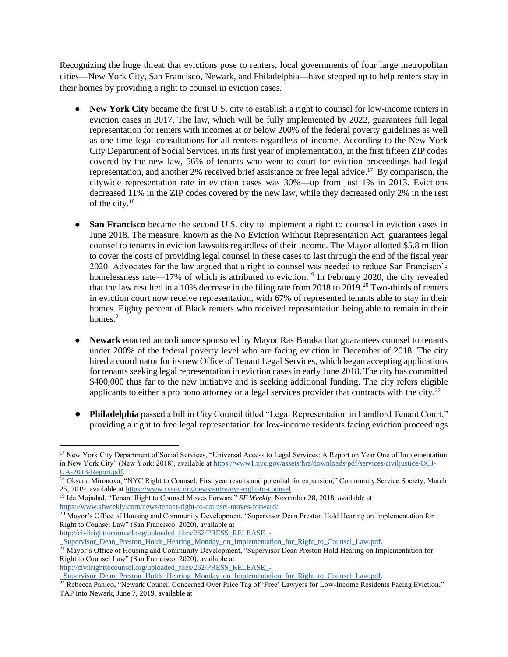Recognizing the huge threat that evictions pose to renters, local governments of four large metropolitan cities—New York City, San Francisco, Newark, and Philadelphia—have stepped up to help renters stay in their homes by providing a right to counsel in eviction cases.

- **New York City** became the first U.S. city to establish a right to counsel for low-income renters in eviction cases in 2017. The law, which will be fully implemented by 2022, guarantees full legal representation for renters with incomes at or below 200% of the federal poverty guidelines as well as one-time legal consultations for all renters regardless of income. According to the New York City Department of Social Services, in its first year of implementation, in the first fifteen ZIP codes covered by the new law, 56% of tenants who went to court for eviction proceedings had legal representation, and another 2% received brief assistance or free legal advice.<sup>17</sup> By comparison, the citywide representation rate in eviction cases was 30%—up from just 1% in 2013. Evictions decreased 11% in the ZIP codes covered by the new law, while they decreased only 2% in the rest of the city.<sup>18</sup>
- **San Francisco** became the second U.S. city to implement a right to counsel in eviction cases in June 2018. The measure, known as the No Eviction Without Representation Act, guarantees legal counsel to tenants in eviction lawsuits regardless of their income. The Mayor allotted \$5.8 million to cover the costs of providing legal counsel in these cases to last through the end of the fiscal year 2020. Advocates for the law argued that a right to counsel was needed to reduce San Francisco's homelessness rate—17% of which is attributed to eviction.<sup>19</sup> In February 2020, the city revealed that the law resulted in a 10% decrease in the filing rate from 2018 to 2019.<sup>20</sup> Two-thirds of renters in eviction court now receive representation, with 67% of represented tenants able to stay in their homes. Eighty percent of Black renters who received representation being able to remain in their homes. $21$
- **Newark** enacted an ordinance sponsored by Mayor Ras Baraka that guarantees counsel to tenants under 200% of the federal poverty level who are facing eviction in December of 2018. The city hired a coordinator for its new Office of Tenant Legal Services, which began accepting applications for tenants seeking legal representation in eviction cases in early June 2018. The city has committed \$400,000 thus far to the new initiative and is seeking additional funding. The city refers eligible applicants to either a pro bono attorney or a legal services provider that contracts with the city.<sup>22</sup>
- **Philadelphia** passed a bill in City Council titled "Legal Representation in Landlord Tenant Court," providing a right to free legal representation for low-income residents facing eviction proceedings

[http://civilrighttocounsel.org/uploaded\\_files/262/PRESS\\_RELEASE\\_-](http://civilrighttocounsel.org/uploaded_files/262/PRESS_RELEASE_-_Supervisor_Dean_Preston_Holds_Hearing_Monday_on_Implementation_for_Right_to_Counsel_Law.pdf)

[http://civilrighttocounsel.org/uploaded\\_files/262/PRESS\\_RELEASE\\_-](http://civilrighttocounsel.org/uploaded_files/262/PRESS_RELEASE_-_Supervisor_Dean_Preston_Holds_Hearing_Monday_on_Implementation_for_Right_to_Counsel_Law.pdf)

Supervisor\_Dean\_Preston\_Holds\_Hearing\_Monday\_on\_Implementation\_for\_Right\_to\_Counsel\_Law.pdf.

<sup>&</sup>lt;sup>17</sup> New York City Department of Social Services, "Universal Access to Legal Services: A Report on Year One of Implementation in New York City" (New York: 2018), available a[t https://www1.nyc.gov/assets/hra/downloads/pdf/services/civiljustice/OCJ-](https://www1.nyc.gov/assets/hra/downloads/pdf/services/civiljustice/OCJ-UA-2018-Report.pdf)[UA-2018-Report.pdf.](https://www1.nyc.gov/assets/hra/downloads/pdf/services/civiljustice/OCJ-UA-2018-Report.pdf)

<sup>&</sup>lt;sup>18</sup> Oksana Mironova, "NYC Right to Counsel: First year results and potential for expansion," Community Service Society, March 25, 2019, available at [https://www.cssny.org/news/entry/nyc-right-to-counsel.](https://www.cssny.org/news/entry/nyc-right-to-counsel)

<sup>19</sup> Ida Mojadad, "Tenant Right to Counsel Moves Forward" *SF Weekly*, November 28, 2018, available at <https://www.sfweekly.com/news/tenant-right-to-counsel-moves-forward/>

<sup>&</sup>lt;sup>20</sup> Mayor's Office of Housing and Community Development, "Supervisor Dean Preston Hold Hearing on Implementation for Right to Counsel Law" (San Francisco: 2020), available at

[\\_Supervisor\\_Dean\\_Preston\\_Holds\\_Hearing\\_Monday\\_on\\_Implementation\\_for\\_Right\\_to\\_Counsel\\_Law.pdf.](http://civilrighttocounsel.org/uploaded_files/262/PRESS_RELEASE_-_Supervisor_Dean_Preston_Holds_Hearing_Monday_on_Implementation_for_Right_to_Counsel_Law.pdf)

<sup>&</sup>lt;sup>21</sup> Mayor's Office of Housing and Community Development, "Supervisor Dean Preston Hold Hearing on Implementation for Right to Counsel Law" (San Francisco: 2020), available at

<sup>&</sup>lt;sup>22</sup> Rebecca Panico, "Newark Council Concerned Over Price Tag of 'Free' Lawyers for Low-Income Residents Facing Eviction," TAP into Newark, June 7, 2019, available at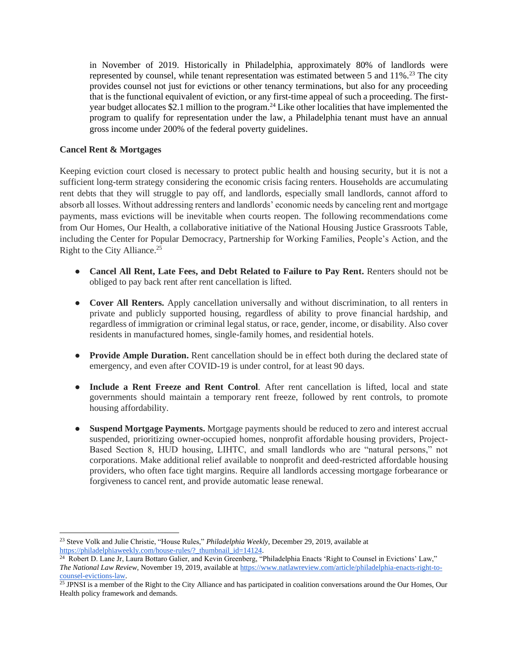in November of 2019. Historically in Philadelphia, approximately 80% of landlords were represented by counsel, while tenant representation was estimated between 5 and  $11\%$ <sup>23</sup>. The city provides counsel not just for evictions or other tenancy terminations, but also for any proceeding that is the functional equivalent of eviction, or any first-time appeal of such a proceeding. The firstyear budget allocates \$2.1 million to the program.<sup>24</sup> Like other localities that have implemented the program to qualify for representation under the law, a Philadelphia tenant must have an annual gross income under 200% of the federal poverty guidelines.

# **Cancel Rent & Mortgages**

Keeping eviction court closed is necessary to protect public health and housing security, but it is not a sufficient long-term strategy considering the economic crisis facing renters. Households are accumulating rent debts that they will struggle to pay off, and landlords, especially small landlords, cannot afford to absorb all losses. Without addressing renters and landlords' economic needs by canceling rent and mortgage payments, mass evictions will be inevitable when courts reopen. The following recommendations come from Our Homes, Our Health, a collaborative initiative of the National Housing Justice Grassroots Table, including the Center for Popular Democracy, Partnership for Working Families, People's Action, and the Right to the City Alliance.<sup>25</sup>

- **Cancel All Rent, Late Fees, and Debt Related to Failure to Pay Rent.** Renters should not be obliged to pay back rent after rent cancellation is lifted.
- **Cover All Renters.** Apply cancellation universally and without discrimination, to all renters in private and publicly supported housing, regardless of ability to prove financial hardship, and regardless of immigration or criminal legal status, or race, gender, income, or disability. Also cover residents in manufactured homes, single-family homes, and residential hotels.
- **Provide Ample Duration.** Rent cancellation should be in effect both during the declared state of emergency, and even after COVID-19 is under control, for at least 90 days.
- **Include a Rent Freeze and Rent Control***.* After rent cancellation is lifted, local and state governments should maintain a temporary rent freeze, followed by rent controls, to promote housing affordability.
- **Suspend Mortgage Payments.** Mortgage payments should be reduced to zero and interest accrual suspended, prioritizing owner-occupied homes, nonprofit affordable housing providers, Project-Based Section 8, HUD housing, LIHTC, and small landlords who are "natural persons," not corporations. Make additional relief available to nonprofit and deed-restricted affordable housing providers, who often face tight margins. Require all landlords accessing mortgage forbearance or forgiveness to cancel rent, and provide automatic lease renewal.

<sup>23</sup> Steve Volk and Julie Christie, "House Rules," *Philadelphia Weekly*, December 29, 2019, available at [https://philadelphiaweekly.com/house-rules/?\\_thumbnail\\_id=14124.](https://philadelphiaweekly.com/house-rules/?_thumbnail_id=14124)

<sup>&</sup>lt;sup>24</sup> Robert D. Lane Jr, Laura Bottaro Galier, and Kevin Greenberg, "Philadelphia Enacts 'Right to Counsel in Evictions' Law," *The National Law Review*, November 19, 2019, available a[t https://www.natlawreview.com/article/philadelphia-enacts-right-to](https://www.natlawreview.com/article/philadelphia-enacts-right-to-counsel-evictions-law)[counsel-evictions-law.](https://www.natlawreview.com/article/philadelphia-enacts-right-to-counsel-evictions-law)

 $^{25}$  JPNSI is a member of the Right to the City Alliance and has participated in coalition conversations around the Our Homes, Our Health policy framework and demands.